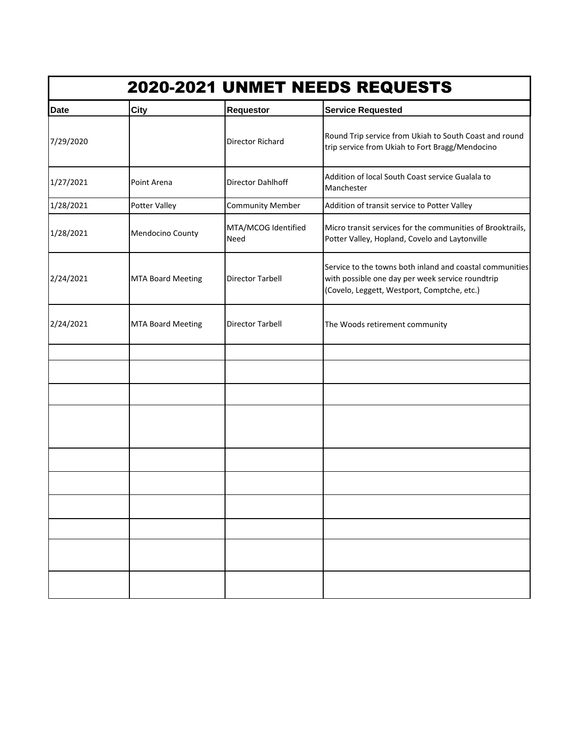| 2020-2021 UNMET NEEDS REQUESTS |                          |                             |                                                                                                                                                             |  |
|--------------------------------|--------------------------|-----------------------------|-------------------------------------------------------------------------------------------------------------------------------------------------------------|--|
| <b>Date</b>                    | <b>City</b>              | <b>Requestor</b>            | <b>Service Requested</b>                                                                                                                                    |  |
| 7/29/2020                      |                          | Director Richard            | Round Trip service from Ukiah to South Coast and round<br>trip service from Ukiah to Fort Bragg/Mendocino                                                   |  |
| 1/27/2021                      | Point Arena              | Director Dahlhoff           | Addition of local South Coast service Gualala to<br>Manchester                                                                                              |  |
| 1/28/2021                      | Potter Valley            | <b>Community Member</b>     | Addition of transit service to Potter Valley                                                                                                                |  |
| 1/28/2021                      | Mendocino County         | MTA/MCOG Identified<br>Need | Micro transit services for the communities of Brooktrails,<br>Potter Valley, Hopland, Covelo and Laytonville                                                |  |
| 2/24/2021                      | <b>MTA Board Meeting</b> | Director Tarbell            | Service to the towns both inland and coastal communities<br>with possible one day per week service roundtrip<br>(Covelo, Leggett, Westport, Comptche, etc.) |  |
| 2/24/2021                      | <b>MTA Board Meeting</b> | <b>Director Tarbell</b>     | The Woods retirement community                                                                                                                              |  |
|                                |                          |                             |                                                                                                                                                             |  |
|                                |                          |                             |                                                                                                                                                             |  |
|                                |                          |                             |                                                                                                                                                             |  |
|                                |                          |                             |                                                                                                                                                             |  |
|                                |                          |                             |                                                                                                                                                             |  |
|                                |                          |                             |                                                                                                                                                             |  |
|                                |                          |                             |                                                                                                                                                             |  |
|                                |                          |                             |                                                                                                                                                             |  |
|                                |                          |                             |                                                                                                                                                             |  |
|                                |                          |                             |                                                                                                                                                             |  |